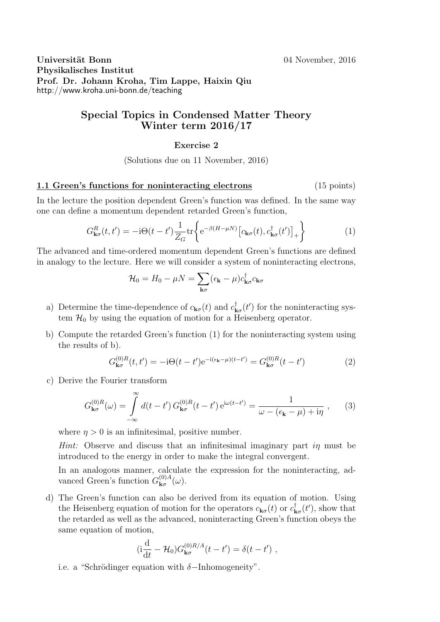Universität Bonn 1999 universität Bonn 1999 universität Bonn 1999 universität Bonn 1999 universität Bonn 1999 u Physikalisches Institut Prof. Dr. Johann Kroha, Tim Lappe, Haixin Qiu http://www.kroha.uni-bonn.de/teaching

## Special Topics in Condensed Matter Theory Winter term 2016/17

## Exercise 2

(Solutions due on 11 November, 2016)

## 1.1 Green's functions for noninteracting electrons (15 points)

In the lecture the position dependent Green's function was defined. In the same way one can define a momentum dependent retarded Green's function,

$$
G_{\mathbf{k}\sigma}^{R}(t,t') = -\mathrm{i}\Theta(t-t')\frac{1}{Z_{G}}\mathrm{tr}\left\{\mathrm{e}^{-\beta(H-\mu N)}\left[c_{\mathbf{k}\sigma}(t),c_{\mathbf{k}\sigma}^{\dagger}(t')\right]_{+}\right\} \tag{1}
$$

The advanced and time-ordered momentum dependent Green's functions are defined in analogy to the lecture. Here we will consider a system of noninteracting electrons,

$$
\mathcal{H}_0 = H_0 - \mu N = \sum_{\mathbf{k}\sigma} (\epsilon_{\mathbf{k}} - \mu) c_{\mathbf{k}\sigma}^\dagger c_{\mathbf{k}\sigma}
$$

- a) Determine the time-dependence of  $c_{\mathbf{k}\sigma}(t)$  and  $c_{\mathbf{k}}^{\dagger}$  $\mathbf{R}_{\mathbf{x}\sigma}(t')$  for the noninteracting system  $\mathcal{H}_0$  by using the equation of motion for a Heisenberg operator.
- b) Compute the retarded Green's function (1) for the noninteracting system using the results of b).

$$
G_{\mathbf{k}\sigma}^{(0)R}(t,t') = -i\Theta(t-t')e^{-i(\epsilon_{\mathbf{k}}-\mu)(t-t')} = G_{\mathbf{k}\sigma}^{(0)R}(t-t')
$$
(2)

c) Derive the Fourier transform

$$
G_{\mathbf{k}\sigma}^{(0)R}(\omega) = \int_{-\infty}^{\infty} d(t - t') G_{\mathbf{k}\sigma}^{(0)R}(t - t') e^{i\omega(t - t')} = \frac{1}{\omega - (\epsilon_{\mathbf{k}} - \mu) + i\eta}, \qquad (3)
$$

where  $\eta > 0$  is an infinitesimal, positive number.

*Hint:* Observe and discuss that an infinitesimal imaginary part  $i\eta$  must be introduced to the energy in order to make the integral convergent.

In an analogous manner, calculate the expression for the noninteracting, advanced Green's function  $G_{\mathbf{k}\sigma}^{(0)A}$  $_{\mathbf{k}\sigma}^{\text{\tiny{(U)}}A}(\omega).$ 

d) The Green's function can also be derived from its equation of motion. Using the Heisenberg equation of motion for the operators  $c_{\mathbf{k}\sigma}(t)$  or  $c_{\mathbf{k}}^{\dagger}$  $\phi_{\mathbf{k}\sigma}^{\dagger}(t')$ , show that the retarded as well as the advanced, noninteracting Green's function obeys the same equation of motion,

$$
(\mathrm{i}\frac{\mathrm{d}}{\mathrm{d}t} - \mathcal{H}_0) G_{\mathbf{k}\sigma}^{(0)R/A}(t - t') = \delta(t - t') ,
$$

i.e. a "Schrödinger equation with  $\delta$ -Inhomogeneity".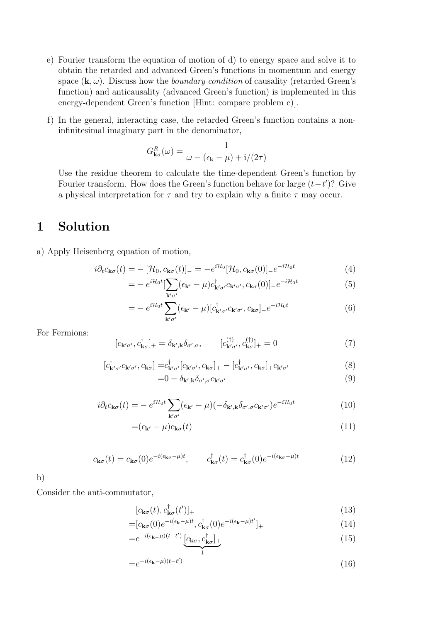- e) Fourier transform the equation of motion of d) to energy space and solve it to obtain the retarded and advanced Green's functions in momentum and energy space  $(\mathbf{k}, \omega)$ . Discuss how the *boundary condition* of causality (retarded Green's function) and anticausality (advanced Green's function) is implemented in this energy-dependent Green's function [Hint: compare problem c)].
- f) In the general, interacting case, the retarded Green's function contains a noninfinitesimal imaginary part in the denominator,

$$
G_{\mathbf{k}\sigma}^{R}(\omega) = \frac{1}{\omega - (\epsilon_{\mathbf{k}} - \mu) + i/(2\tau)}
$$

Use the residue theorem to calculate the time-dependent Green's function by Fourier transform. How does the Green's function behave for large  $(t-t')$ ? Give a physical interpretation for  $\tau$  and try to explain why a finite  $\tau$  may occur.

## 1 Solution

a) Apply Heisenberg equation of motion,

$$
i\partial_t c_{\mathbf{k}\sigma}(t) = -[\mathcal{H}_0, c_{\mathbf{k}\sigma}(t)]_ - = -e^{i\mathcal{H}_0}[\mathcal{H}_0, c_{\mathbf{k}\sigma}(0)]_ - e^{-i\mathcal{H}_0 t}
$$
\n(4)

$$
= -e^{i\mathcal{H}_0 t} \left[\sum_{\mathbf{k}'\sigma'} (\epsilon_{\mathbf{k}'} - \mu) c^{\dagger}_{\mathbf{k}'\sigma'} c_{\mathbf{k}'\sigma'}, c_{\mathbf{k}\sigma}(0)\right]_{-} e^{-i\mathcal{H}_0 t} \tag{5}
$$

$$
= - e^{i\mathcal{H}_0 t} \sum_{\mathbf{k}'\sigma'} (\epsilon_{\mathbf{k}'} - \mu) [c^{\dagger}_{\mathbf{k}'\sigma'} c_{\mathbf{k}'\sigma'}, c_{\mathbf{k}\sigma}]_{-} e^{-i\mathcal{H}_0 t}
$$
(6)

For Fermions:

$$
[c_{\mathbf{k}'\sigma'}, c_{\mathbf{k}\sigma}^{\dagger}]_{+} = \delta_{\mathbf{k}',\mathbf{k}} \delta_{\sigma',\sigma}, \qquad [c_{\mathbf{k}'\sigma'}^{(\dagger)}, c_{\mathbf{k}\sigma}^{(\dagger)}]_{+} = 0 \tag{7}
$$

$$
[c^{\dagger}_{\mathbf{k}'\sigma'}c_{\mathbf{k}'\sigma'}, c_{\mathbf{k}\sigma}] = c^{\dagger}_{\mathbf{k}'\sigma'}[c_{\mathbf{k}'\sigma'}, c_{\mathbf{k}\sigma}]_{+} - [c^{\dagger}_{\mathbf{k}'\sigma'}, c_{\mathbf{k}\sigma}]_{+}c_{\mathbf{k}'\sigma'} \tag{8}
$$

$$
=0-\delta_{\mathbf{k}',\mathbf{k}}\delta_{\sigma',\sigma}c_{\mathbf{k}'\sigma'}\tag{9}
$$

$$
i\partial_t c_{\mathbf{k}\sigma}(t) = -e^{i\mathcal{H}_0 t} \sum_{\mathbf{k}'\sigma'} (\epsilon_{\mathbf{k}'} - \mu)(-\delta_{\mathbf{k}',\mathbf{k}} \delta_{\sigma',\sigma} c_{\mathbf{k}'\sigma'}) e^{-i\mathcal{H}_0 t}
$$
(10)

$$
=(\epsilon_{\mathbf{k'}}-\mu)c_{\mathbf{k}\sigma}(t) \tag{11}
$$

$$
c_{\mathbf{k}\sigma}(t) = c_{\mathbf{k}\sigma}(0)e^{-i(\epsilon_{\mathbf{k}\sigma}-\mu)t}, \qquad c_{\mathbf{k}\sigma}^{\dagger}(t) = c_{\mathbf{k}\sigma}^{\dagger}(0)e^{-i(\epsilon_{\mathbf{k}\sigma}-\mu)t}
$$
(12)

b)

Consider the anti-commutator,

$$
[c_{\mathbf{k}\sigma}(t), c_{\mathbf{k}\sigma}^{\dagger}(t')]_{+}
$$
\n(13)

$$
=[c_{\mathbf{k}\sigma}(0)e^{-i(\epsilon_{\mathbf{k}}-\mu)t},c_{\mathbf{k}\sigma}^{\dagger}(0)e^{-i(\epsilon_{\mathbf{k}}-\mu)t'}]_{+}
$$
\n(14)

$$
=e^{-i(\epsilon_{\mathbf{k}}-\mu)(t-t')}\underbrace{[c_{\mathbf{k}\sigma},c^{\dagger}_{\mathbf{k}\sigma}]}_{1}.
$$
 (15)

$$
=e^{-i(\epsilon_{\mathbf{k}}-\mu)(t-t')} \tag{16}
$$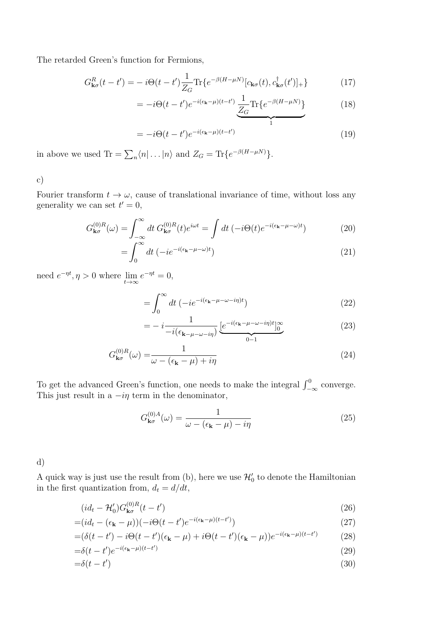The retarded Green's function for Fermions,

$$
G_{\mathbf{k}\sigma}^{R}(t-t') = -i\Theta(t-t')\frac{1}{Z_{G}}\text{Tr}\{e^{-\beta(H-\mu N)}[c_{\mathbf{k}\sigma}(t), c_{\mathbf{k}\sigma}^{\dagger}(t')]_{+}\}\qquad(17)
$$

$$
= -i\Theta(t-t')e^{-i(\epsilon_{\mathbf{k}}-\mu)(t-t')} \frac{1}{Z_G} \text{Tr}\{e^{-\beta(H-\mu N)}\}
$$
(18)

$$
= -i\Theta(t-t')e^{-i(\epsilon_{\mathbf{k}}-\mu)(t-t')} \qquad \qquad 1
$$
\n(19)

in above we used Tr =  $\sum_{n} \langle n | \dots | n \rangle$  and  $Z_G = \text{Tr} \{ e^{-\beta (H - \mu N)} \}.$ 

c)

Fourier transform  $t \to \omega$ , cause of translational invariance of time, without loss any generality we can set  $t' = 0$ ,

$$
G_{\mathbf{k}\sigma}^{(0)R}(\omega) = \int_{-\infty}^{\infty} dt \, G_{\mathbf{k}\sigma}^{(0)R}(t) e^{i\omega t} = \int dt \, (-i\Theta(t) e^{-i(\epsilon_{\mathbf{k}} - \mu - \omega)t}) \tag{20}
$$

$$
=\int_0^\infty dt \left(-ie^{-i(\epsilon_{\mathbf{k}}-\mu-\omega)t}\right) \tag{21}
$$

need  $e^{-\eta t}, \eta > 0$  where  $\lim_{t \to \infty} e^{-\eta t} = 0$ ,

$$
=\int_0^\infty dt \left(-ie^{-i(\epsilon_\mathbf{k}-\mu-\omega-i\eta)t}\right)
$$
\n(22)

$$
= -i \frac{1}{-i(\epsilon_{\mathbf{k}-\mu-\omega-i\eta})} \underbrace{[e^{-i(\epsilon_{\mathbf{k}}-\mu-\omega-i\eta)t}]_0^{\infty}}_{0-1}
$$
(23)

$$
G_{\mathbf{k}\sigma}^{(0)R}(\omega) = \frac{1}{\omega - (\epsilon_{\mathbf{k}} - \mu) + i\eta} \tag{24}
$$

To get the advanced Green's function, one needs to make the integral  $\int_{-\infty}^{0}$  converge. This just result in a  $-i\eta$  term in the denominator,

$$
G_{\mathbf{k}\sigma}^{(0)A}(\omega) = \frac{1}{\omega - (\epsilon_{\mathbf{k}} - \mu) - i\eta}
$$
\n(25)

d)

A quick way is just use the result from (b), here we use  $\mathcal{H}'_0$  to denote the Hamiltonian in the first quantization from,  $d_t = d/dt$ ,

$$
(id_t - \mathcal{H}'_0)G_{\mathbf{k}\sigma}^{(0)R}(t - t')\tag{26}
$$

$$
=(id_t - (\epsilon_\mathbf{k} - \mu))(-i\Theta(t - t')e^{-i(\epsilon_\mathbf{k} - \mu)(t - t')})
$$
\n(27)

$$
= (\delta(t - t') - i\Theta(t - t')(\epsilon_{\mathbf{k}} - \mu) + i\Theta(t - t')(\epsilon_{\mathbf{k}} - \mu))e^{-i(\epsilon_{\mathbf{k}} - \mu)(t - t')} \tag{28}
$$

$$
=\delta(t-t')e^{-i(\epsilon_{\mathbf{k}}-\mu)(t-t')} \tag{29}
$$

$$
=\delta(t-t')\tag{30}
$$